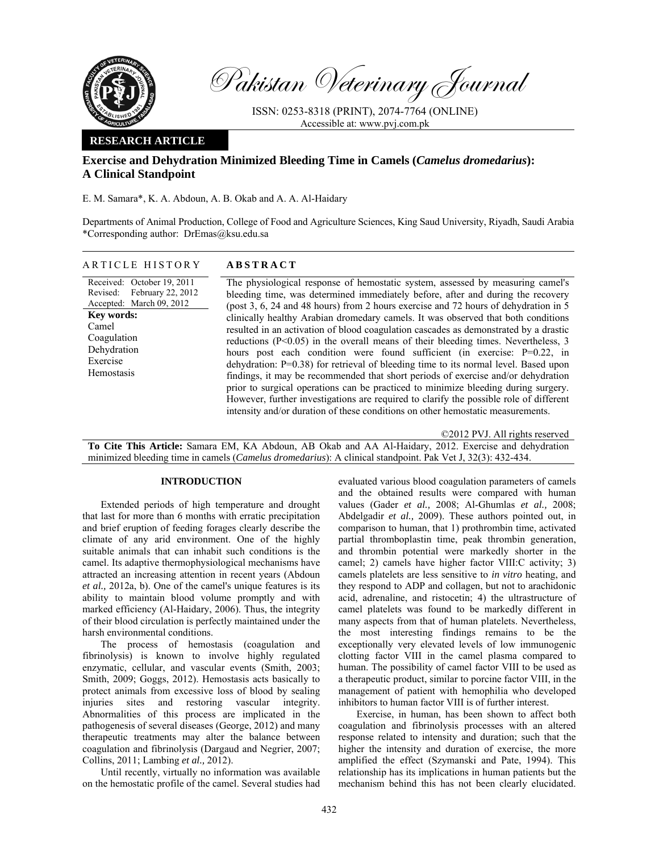

Pakistan Veterinary Journal

ISSN: 0253-8318 (PRINT), 2074-7764 (ONLINE) Accessible at: www.pvj.com.pk

## **RESEARCH ARTICLE**

# **Exercise and Dehydration Minimized Bleeding Time in Camels (***Camelus dromedarius***): A Clinical Standpoint**

E. M. Samara\*, K. A. Abdoun, A. B. Okab and A. A. Al-Haidary

Departments of Animal Production, College of Food and Agriculture Sciences, King Saud University, Riyadh, Saudi Arabia \*Corresponding author: DrEmas@ksu.edu.sa

ARTICLE HISTORY **ABSTRACT** 

Received: October 19, 2011 Revised: Accepted: March 09, 2012 February 22, 2012 **Key words:**  Camel Coagulation Dehydration Exercise Hemostasis

The physiological response of hemostatic system, assessed by measuring camel's bleeding time, was determined immediately before, after and during the recovery (post 3, 6, 24 and 48 hours) from 2 hours exercise and 72 hours of dehydration in 5 clinically healthy Arabian dromedary camels. It was observed that both conditions resulted in an activation of blood coagulation cascades as demonstrated by a drastic reductions (P<0.05) in the overall means of their bleeding times. Nevertheless, 3 hours post each condition were found sufficient (in exercise: P=0.22, in dehydration: P=0.38) for retrieval of bleeding time to its normal level. Based upon findings, it may be recommended that short periods of exercise and/or dehydration prior to surgical operations can be practiced to minimize bleeding during surgery. However, further investigations are required to clarify the possible role of different intensity and/or duration of these conditions on other hemostatic measurements.

©2012 PVJ. All rights reserved **To Cite This Article:** Samara EM, KA Abdoun, AB Okab and AA Al-Haidary, 2012. Exercise and dehydration minimized bleeding time in camels (*Camelus dromedarius*): A clinical standpoint. Pak Vet J, 32(3): 432-434.

### **INTRODUCTION**

Extended periods of high temperature and drought that last for more than 6 months with erratic precipitation and brief eruption of feeding forages clearly describe the climate of any arid environment. One of the highly suitable animals that can inhabit such conditions is the camel. Its adaptive thermophysiological mechanisms have attracted an increasing attention in recent years (Abdoun *et al.,* 2012a, b). One of the camel's unique features is its ability to maintain blood volume promptly and with marked efficiency (Al-Haidary, 2006). Thus, the integrity of their blood circulation is perfectly maintained under the harsh environmental conditions.

The process of hemostasis (coagulation and fibrinolysis) is known to involve highly regulated enzymatic, cellular, and vascular events (Smith, 2003; Smith, 2009; Goggs, 2012). Hemostasis acts basically to protect animals from excessive loss of blood by sealing injuries sites and restoring vascular integrity. Abnormalities of this process are implicated in the pathogenesis of several diseases (George, 2012) and many therapeutic treatments may alter the balance between coagulation and fibrinolysis (Dargaud and Negrier, 2007; Collins, 2011; Lambing *et al.,* 2012).

Until recently, virtually no information was available on the hemostatic profile of the camel. Several studies had

evaluated various blood coagulation parameters of camels and the obtained results were compared with human values (Gader *et al.,* 2008; Al-Ghumlas *et al.,* 2008; Abdelgadir *et al.,* 2009). These authors pointed out, in comparison to human, that 1) prothrombin time, activated partial thromboplastin time, peak thrombin generation, and thrombin potential were markedly shorter in the camel; 2) camels have higher factor VIII:C activity; 3) camels platelets are less sensitive to *in vitro* heating, and they respond to ADP and collagen, but not to arachidonic acid, adrenaline, and ristocetin; 4) the ultrastructure of camel platelets was found to be markedly different in many aspects from that of human platelets. Nevertheless, the most interesting findings remains to be the exceptionally very elevated levels of low immunogenic clotting factor VIII in the camel plasma compared to human. The possibility of camel factor VIII to be used as a therapeutic product, similar to porcine factor VIII, in the management of patient with hemophilia who developed inhibitors to human factor VIII is of further interest.

Exercise, in human, has been shown to affect both coagulation and fibrinolysis processes with an altered response related to intensity and duration; such that the higher the intensity and duration of exercise, the more amplified the effect (Szymanski and Pate, 1994). This relationship has its implications in human patients but the mechanism behind this has not been clearly elucidated.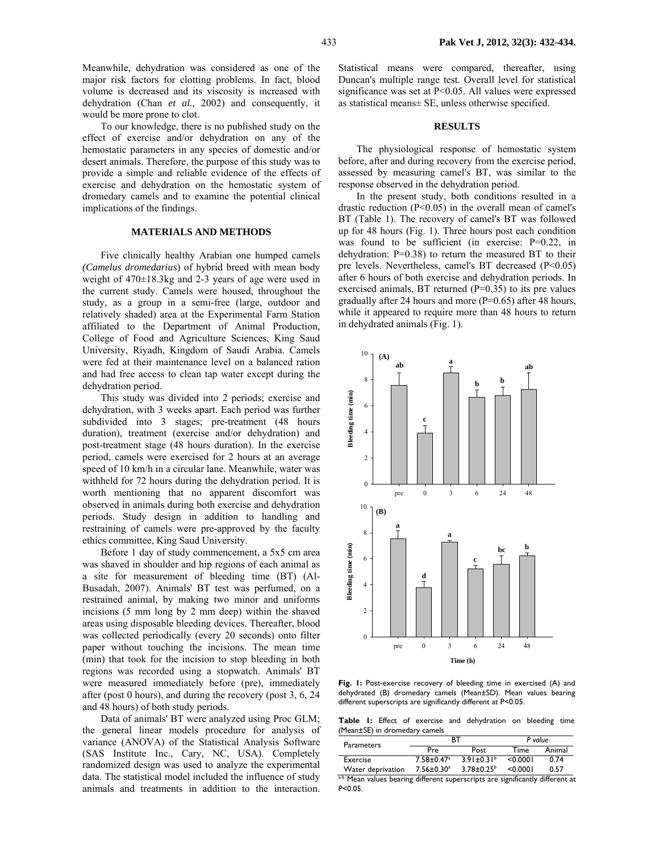Meanwhile, dehydration was considered as one of the major risk factors for clotting problems. In fact, blood volume is decreased and its viscosity is increased with dehydration (Chan *et al.,* 2002) and consequently, it would be more prone to clot.

To our knowledge, there is no published study on the effect of exercise and/or dehydration on any of the hemostatic parameters in any species of domestic and/or desert animals. Therefore, the purpose of this study was to provide a simple and reliable evidence of the effects of exercise and dehydration on the hemostatic system of dromedary camels and to examine the potential clinical implications of the findings.

### **MATERIALS AND METHODS**

Five clinically healthy Arabian one humped camels *(Camelus dromedarius*) of hybrid breed with mean body weight of 470±18.3kg and 2-3 years of age were used in the current study. Camels were housed, throughout the study, as a group in a semi-free (large, outdoor and relatively shaded) area at the Experimental Farm Station affiliated to the Department of Animal Production, College of Food and Agriculture Sciences, King Saud University, Riyadh, Kingdom of Saudi Arabia. Camels were fed at their maintenance level on a balanced ration and had free access to clean tap water except during the dehydration period.

This study was divided into 2 periods; exercise and dehydration, with 3 weeks apart. Each period was further subdivided into 3 stages; pre-treatment (48 hours duration), treatment (exercise and/or dehydration) and post-treatment stage (48 hours duration). In the exercise period, camels were exercised for 2 hours at an average speed of 10 km/h in a circular lane. Meanwhile, water was withheld for 72 hours during the dehydration period. It is worth mentioning that no apparent discomfort was observed in animals during both exercise and dehydration periods. Study design in addition to handling and restraining of camels were pre-approved by the faculty ethics committee, King Saud University.

Before 1 day of study commencement, a 5x5 cm area was shaved in shoulder and hip regions of each animal as a site for measurement of bleeding time (BT) (Al-Busadah, 2007). Animals' BT test was perfumed, on a restrained animal, by making two minor and uniforms incisions (5 mm long by 2 mm deep) within the shaved areas using disposable bleeding devices. Thereafter, blood was collected periodically (every 20 seconds) onto filter paper without touching the incisions. The mean time (min) that took for the incision to stop bleeding in both regions was recorded using a stopwatch. Animals' BT were measured immediately before (pre), immediately after (post 0 hours), and during the recovery (post 3, 6, 24 and 48 hours) of both study periods.

Data of animals' BT were analyzed using Proc GLM; the general linear models procedure for analysis of variance (ANOVA) of the Statistical Analysis Software (SAS Institute Inc., Cary, NC, USA). Completely randomized design was used to analyze the experimental data. The statistical model included the influence of study animals and treatments in addition to the interaction.

Statistical means were compared, thereafter, using Duncan's multiple range test. Overall level for statistical significance was set at P<0.05. All values were expressed as statistical means± SE, unless otherwise specified.

#### **RESULTS**

The physiological response of hemostatic system before, after and during recovery from the exercise period, assessed by measuring camel's BT, was similar to the response observed in the dehydration period.

In the present study, both conditions resulted in a drastic reduction (P<0.05) in the overall mean of camel's BT (Table 1). The recovery of camel's BT was followed up for 48 hours (Fig. 1). Three hours post each condition was found to be sufficient (in exercise: P=0.22, in dehydration: P=0.38) to return the measured BT to their pre levels. Nevertheless, camel's BT decreased (P<0.05) after 6 hours of both exercise and dehydration periods. In exercised animals, BT returned  $(P=0.35)$  to its pre values gradually after 24 hours and more (P=0.65) after 48 hours, while it appeared to require more than 48 hours to return in dehydrated animals (Fig. 1).



Fig. 1: Post-exercise recovery of bleeding time in exercised (A) and dehydrated (B) dromedary camels (Mean±SD). Mean values bearing different superscripts are significantly different at P<0.05.

**Table 1:** Effect of exercise and dehydration on bleeding time (Mean±SE) in dromedary camels

| <b>Parameters</b> | ВT                         |                         | P value       |        |
|-------------------|----------------------------|-------------------------|---------------|--------|
|                   | Pre                        | Post                    | Time          | Animal |
| Exercise          | $7.58 + 0.47$ <sup>a</sup> | $3.91 \pm 0.31^b$       | < 0.0001      | 0.74   |
| Water deprivation | $7.56 \pm 0.30^a$          | $3.78 \pm 0.25^{\circ}$ | < 0.0001      | 0.57   |
|                   | 22                         |                         | $\sim$ $\sim$ | 22     |

a-b Mean values bearing different superscripts are significantly different at P<0.05.